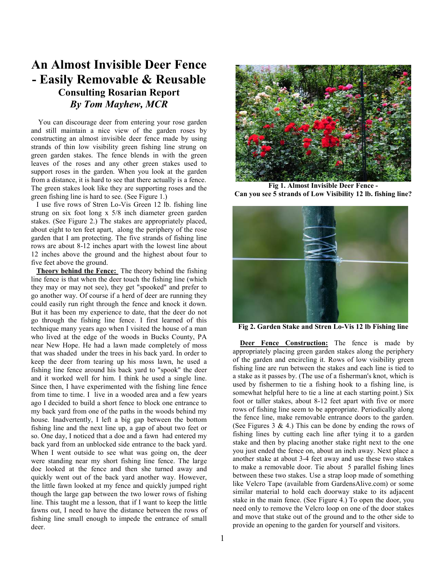## **An Almost Invisible Deer Fence - Easily Removable & Reusable Consulting Rosarian Report**  *By Tom Mayhew, MCR*

You can discourage deer from entering your rose garden and still maintain a nice view of the garden roses by constructing an almost invisible deer fence made by using strands of thin low visibility green fishing line strung on green garden stakes. The fence blends in with the green leaves of the roses and any other green stakes used to support roses in the garden. When you look at the garden from a distance, it is hard to see that there actually is a fence. The green stakes look like they are supporting roses and the green fishing line is hard to see. (See Figure 1.)

 I use five rows of Stren Lo-Vis Green 12 lb. fishing line strung on six foot long x 5/8 inch diameter green garden stakes. (See Figure 2.) The stakes are appropriately placed, about eight to ten feet apart, along the periphery of the rose garden that I am protecting. The five strands of fishing line rows are about 8-12 inches apart with the lowest line about 12 inches above the ground and the highest about four to five feet above the ground.

 **Theory behind the Fence:** The theory behind the fishing line fence is that when the deer touch the fishing line (which they may or may not see), they get "spooked" and prefer to go another way. Of course if a herd of deer are running they could easily run right through the fence and knock it down. But it has been my experience to date, that the deer do not go through the fishing line fence. I first learned of this technique many years ago when I visited the house of a man who lived at the edge of the woods in Bucks County, PA near New Hope. He had a lawn made completely of moss that was shaded under the trees in his back yard. In order to keep the deer from tearing up his moss lawn, he used a fishing line fence around his back yard to "spook" the deer and it worked well for him. I think he used a single line. Since then, I have experimented with the fishing line fence from time to time. I live in a wooded area and a few years ago I decided to build a short fence to block one entrance to my back yard from one of the paths in the woods behind my house. Inadvertently, I left a big gap between the bottom fishing line and the next line up, a gap of about two feet or so. One day, I noticed that a doe and a fawn had entered my back yard from an unblocked side entrance to the back yard. When I went outside to see what was going on, the deer were standing near my short fishing line fence. The large doe looked at the fence and then she turned away and quickly went out of the back yard another way. However, the little fawn looked at my fence and quickly jumped right though the large gap between the two lower rows of fishing line. This taught me a lesson, that if I want to keep the little fawns out, I need to have the distance between the rows of fishing line small enough to impede the entrance of small deer.



**Fig 1. Almost Invisible Deer Fence - Can you see 5 strands of Low Visibility 12 lb. fishing line?**



**Fig 2. Garden Stake and Stren Lo-Vis 12 lb Fishing line** 

 **Deer Fence Construction:** The fence is made by appropriately placing green garden stakes along the periphery of the garden and encircling it. Rows of low visibility green fishing line are run between the stakes and each line is tied to a stake as it passes by. (The use of a fisherman's knot, which is used by fishermen to tie a fishing hook to a fishing line, is somewhat helpful here to tie a line at each starting point.) Six foot or taller stakes, about 8-12 feet apart with five or more rows of fishing line seem to be appropriate. Periodically along the fence line, make removable entrance doors to the garden. (See Figures  $3 \& 4$ .) This can be done by ending the rows of fishing lines by cutting each line after tying it to a garden stake and then by placing another stake right next to the one you just ended the fence on, about an inch away. Next place a another stake at about 3-4 feet away and use these two stakes to make a removable door. Tie about 5 parallel fishing lines between these two stakes. Use a strap loop made of something like Velcro Tape (available from GardensAlive.com) or some similar material to hold each doorway stake to its adjacent stake in the main fence. (See Figure 4.) To open the door, you need only to remove the Velcro loop on one of the door stakes and move that stake out of the ground and to the other side to provide an opening to the garden for yourself and visitors.